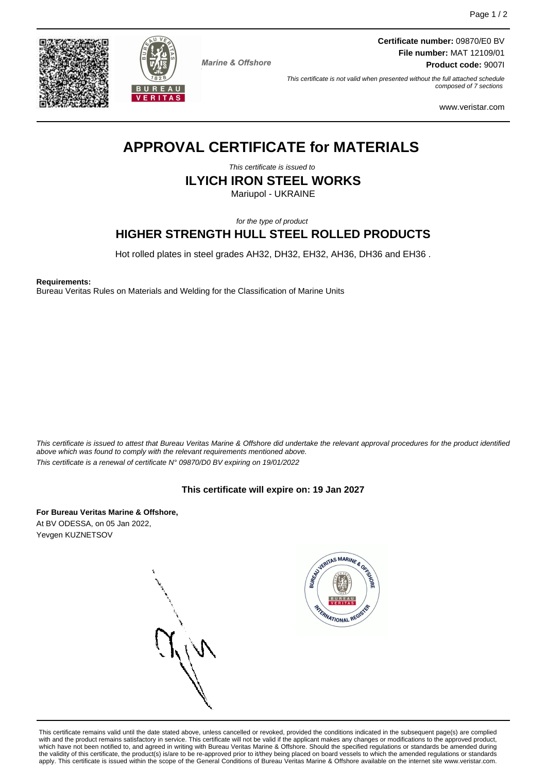



**Marine & Offshore** 

**Certificate number:** 09870/E0 BV **File number:** MAT 12109/01 **Product code:** 9007I

This certificate is not valid when presented without the full attached schedule composed of 7 sections

www.veristar.com

# **APPROVAL CERTIFICATE for MATERIALS**

This certificate is issued to

**ILYICH IRON STEEL WORKS**

Mariupol - UKRAINE

for the type of product

# **HIGHER STRENGTH HULL STEEL ROLLED PRODUCTS**

Hot rolled plates in steel grades AH32, DH32, EH32, AH36, DH36 and EH36 .

**Requirements:**

Bureau Veritas Rules on Materials and Welding for the Classification of Marine Units

This certificate is issued to attest that Bureau Veritas Marine & Offshore did undertake the relevant approval procedures for the product identified above which was found to comply with the relevant requirements mentioned above. This certificate is a renewal of certificate N° 09870/D0 BV expiring on 19/01/2022

### **This certificate will expire on: 19 Jan 2027**

**For Bureau Veritas Marine & Offshore,** At BV ODESSA, on 05 Jan 2022, Yevgen KUZNETSOV



This certificate remains valid until the date stated above, unless cancelled or revoked, provided the conditions indicated in the subsequent page(s) are complied with and the product remains satisfactory in service. This certificate will not be valid if the applicant makes any changes or modifications to the approved product, which have not been notified to, and agreed in writing with Bureau Veritas Marine & Offshore. Should the specified regulations or standards be amended during the validity of this certificate, the product(s) is/are to be re-approved prior to it/they being placed on board vessels to which the amended regulations or standards apply. This certificate is issued within the scope of the General Conditions of Bureau Veritas Marine & Offshore available on the internet site www.veristar.com.